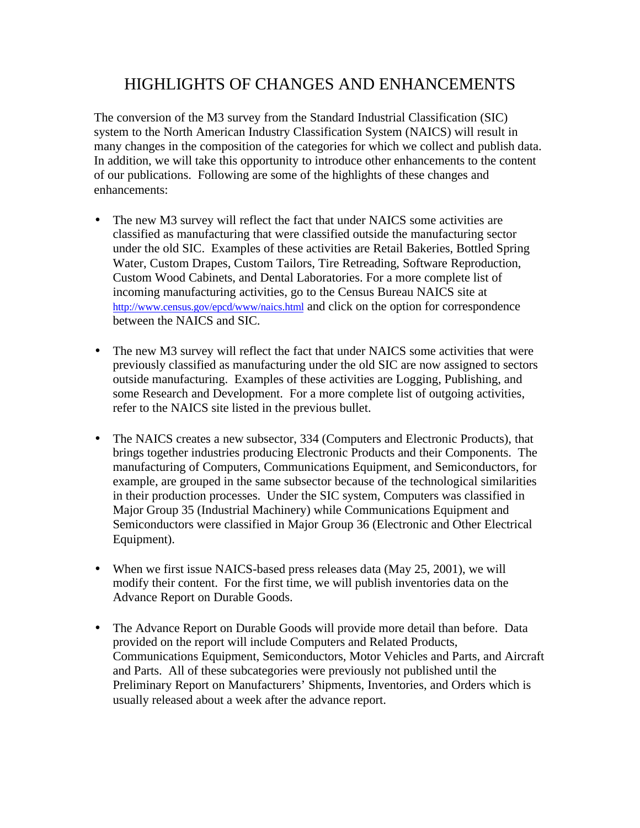## HIGHLIGHTS OF CHANGES AND ENHANCEMENTS

The conversion of the M3 survey from the Standard Industrial Classification (SIC) system to the North American Industry Classification System (NAICS) will result in many changes in the composition of the categories for which we collect and publish data. In addition, we will take this opportunity to introduce other enhancements to the content of our publications. Following are some of the highlights of these changes and enhancements:

- The new M3 survey will reflect the fact that under NAICS some activities are classified as manufacturing that were classified outside the manufacturing sector under the old SIC. Examples of these activities are Retail Bakeries, Bottled Spring Water, Custom Drapes, Custom Tailors, Tire Retreading, Software Reproduction, Custom Wood Cabinets, and Dental Laboratories. For a more complete list of incoming manufacturing activities, go to the Census Bureau NAICS site at http://www.census.gov/epcd/www/naics.html and click on the option for correspondence between the NAICS and SIC.
- The new M3 survey will reflect the fact that under NAICS some activities that were previously classified as manufacturing under the old SIC are now assigned to sectors outside manufacturing. Examples of these activities are Logging, Publishing, and some Research and Development. For a more complete list of outgoing activities, refer to the NAICS site listed in the previous bullet.
- The NAICS creates a new subsector, 334 (Computers and Electronic Products), that brings together industries producing Electronic Products and their Components. The manufacturing of Computers, Communications Equipment, and Semiconductors, for example, are grouped in the same subsector because of the technological similarities in their production processes. Under the SIC system, Computers was classified in Major Group 35 (Industrial Machinery) while Communications Equipment and Semiconductors were classified in Major Group 36 (Electronic and Other Electrical Equipment).
- When we first issue NAICS-based press releases data (May 25, 2001), we will modify their content. For the first time, we will publish inventories data on the Advance Report on Durable Goods.
- The Advance Report on Durable Goods will provide more detail than before. Data provided on the report will include Computers and Related Products, Communications Equipment, Semiconductors, Motor Vehicles and Parts, and Aircraft and Parts. All of these subcategories were previously not published until the Preliminary Report on Manufacturers' Shipments, Inventories, and Orders which is usually released about a week after the advance report.